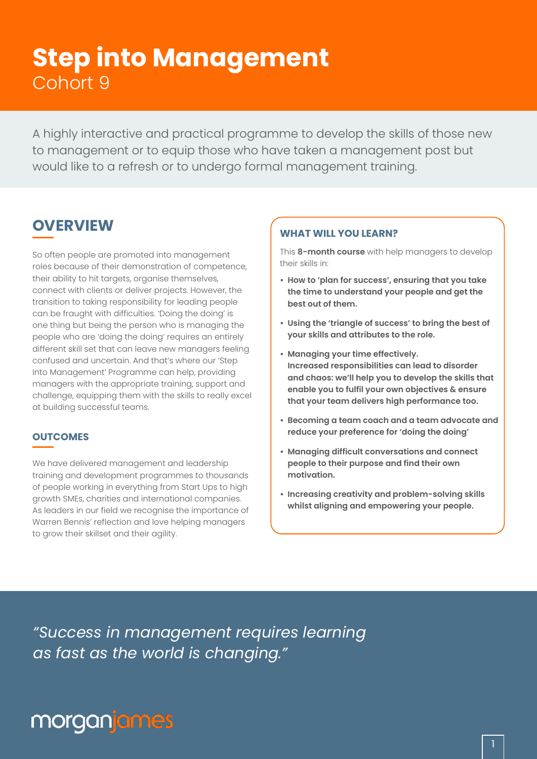# **Step into Management** Cohort 9

A highly interactive and practical programme to develop the skills of those new to management or to equip those who have taken a management post but would like to a refresh or to undergo formal management training.

## **OVERVIEW**

So often people are promoted into management roles because of their demonstration of competence, their ability to hit targets, organise themselves, connect with clients or deliver projects. However, the transition to taking responsibility for leading people can be fraught with difficulties. 'Doing the doing' is one thing but being the person who is managing the people who are 'doing the doing' requires an entirely different skill set that can leave new managers feeling confused and uncertain. And that's where our 'Step Into Management' Programme can help, providing managers with the appropriate training, support and challenge, equipping them with the skills to really excel at building successful teams.

### **OUTCOMES**

We have delivered management and leadership training and development programmes to thousands of people working in everything from Start Ups to high growth SMEs, charities and international companies. As leaders in our field we recognise the importance of Warren Bennis' reflection and love helping managers to grow their skillset and their agility.

### **WHAT WILL YOU LEARN?**

This **8-month course** with help managers to develop their skills in:

- **• How to 'plan for success', ensuring that you take the time to understand your people and get the best out of them.**
- **• Using the 'triangle of success' to bring the best of your skills and attributes to the role.**
- **• Managing your time effectively. Increased responsibilities can lead to disorder and chaos: we'll help you to develop the skills that enable you to fulfil your own objectives & ensure that your team delivers high performance too.**
- **• Becoming a team coach and a team advocate and reduce your preference for 'doing the doing'**
- **• Managing difficult conversations and connect people to their purpose and find their own motivation.**
- **• Increasing creativity and problem-solving skills whilst aligning and empowering your people.**

*"Success in management requires learning as fast as the world is changing."*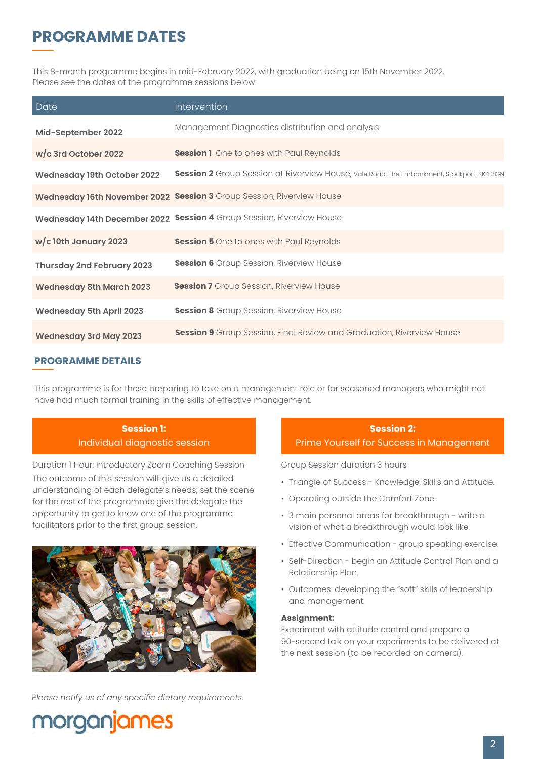# **PROGRAMME DATES**

This 8-month programme begins in mid-February 2022, with graduation being on 15th November 2022. Please see the dates of the programme sessions below:

| Date                              | Intervention                                                                              |
|-----------------------------------|-------------------------------------------------------------------------------------------|
| Mid-September 2022                | Management Diagnostics distribution and analysis                                          |
| $w/c$ 3rd October 2022            | <b>Session 1</b> One to ones with Paul Reynolds                                           |
| Wednesday 19th October 2022       | Session 2 Group Session at Riverview House, Vale Road, The Embankment, Stockport, SK4 3GN |
|                                   | Wednesday 16th November 2022 Session 3 Group Session, Riverview House                     |
|                                   | Wednesday 14th December 2022 Session 4 Group Session, Riverview House                     |
| $w/c$ 10th January 2023           | <b>Session 5</b> One to ones with Paul Reynolds                                           |
| <b>Thursday 2nd February 2023</b> | <b>Session 6</b> Group Session, Riverview House                                           |
| <b>Wednesday 8th March 2023</b>   | <b>Session 7</b> Group Session, Riverview House                                           |
| <b>Wednesday 5th April 2023</b>   | <b>Session 8</b> Group Session, Riverview House                                           |
| <b>Wednesday 3rd May 2023</b>     | <b>Session 9</b> Group Session, Final Review and Graduation, Riverview House              |

### **PROGRAMME DETAILS**

This programme is for those preparing to take on a management role or for seasoned managers who might not have had much formal training in the skills of effective management.

**Session 1:**  Individual diagnostic session

Duration 1 Hour: Introductory Zoom Coaching Session The outcome of this session will: give us a detailed understanding of each delegate's needs; set the scene for the rest of the programme; give the delegate the opportunity to get to know one of the programme facilitators prior to the first group session.



*Please notify us of any specific dietary requirements.*

## **Session 2:**

Prime Yourself for Success in Management

Group Session duration 3 hours

- Triangle of Success Knowledge, Skills and Attitude.
- Operating outside the Comfort Zone.
- 3 main personal areas for breakthrough write a vision of what a breakthrough would look like.
- Effective Communication group speaking exercise.
- Self-Direction begin an Attitude Control Plan and a Relationship Plan.
- Outcomes: developing the "soft" skills of leadership and management.

#### **Assignment:**

Experiment with attitude control and prepare a 90-second talk on your experiments to be delivered at the next session (to be recorded on camera).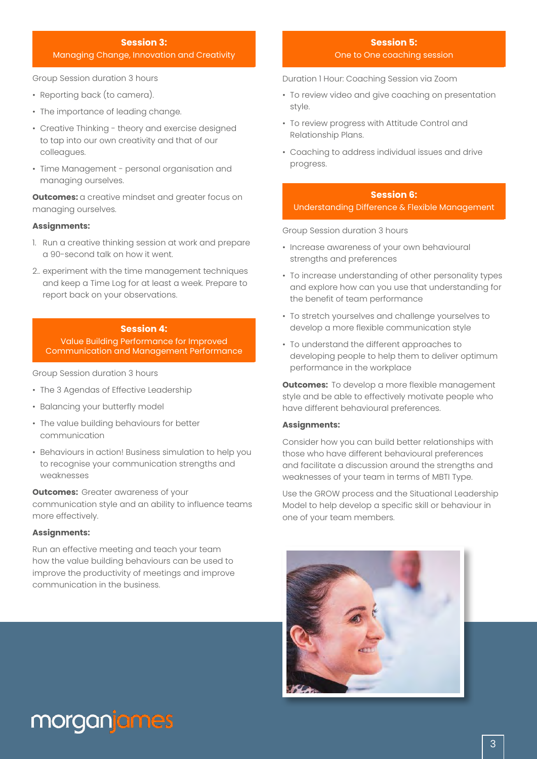#### **Session 3:**

#### Managing Change, Innovation and Creativity

Group Session duration 3 hours

- Reporting back (to camera).
- The importance of leading change.
- Creative Thinking theory and exercise designed to tap into our own creativity and that of our colleagues.
- Time Management personal organisation and managing ourselves.

**Outcomes:** a creative mindset and areater focus on managing ourselves.

#### **Assignments:**

- 1. Run a creative thinking session at work and prepare a 90-second talk on how it went.
- 2.. experiment with the time management techniques and keep a Time Log for at least a week. Prepare to report back on your observations.

#### **Session 4:**

Value Building Performance for Improved Communication and Management Performance

Group Session duration 3 hours

- The 3 Agendas of Effective Leadership
- Balancing your butterfly model
- The value building behaviours for better communication
- Behaviours in action! Business simulation to help you to recognise your communication strengths and weaknesses

**Outcomes:** Greater awareness of your

communication style and an ability to influence teams more effectively.

#### **Assignments:**

Run an effective meeting and teach your team how the value building behaviours can be used to improve the productivity of meetings and improve communication in the business.

#### **Session 5:** One to One coaching session

Duration 1 Hour: Coaching Session via Zoom

- To review video and give coaching on presentation style.
- To review progress with Attitude Control and Relationship Plans.
- Coaching to address individual issues and drive progress.

#### **Session 6:**  Understanding Difference & Flexible Management

Group Session duration 3 hours

- Increase awareness of your own behavioural strengths and preferences
- To increase understanding of other personality types and explore how can you use that understanding for the benefit of team performance
- To stretch yourselves and challenge yourselves to develop a more flexible communication style
- To understand the different approaches to developing people to help them to deliver optimum performance in the workplace

**Outcomes:** To develop a more flexible management style and be able to effectively motivate people who have different behavioural preferences.

#### **Assignments:**

Consider how you can build better relationships with those who have different behavioural preferences and facilitate a discussion around the strengths and weaknesses of your team in terms of MBTI Type.

Use the GROW process and the Situational Leadership Model to help develop a specific skill or behaviour in one of your team members.

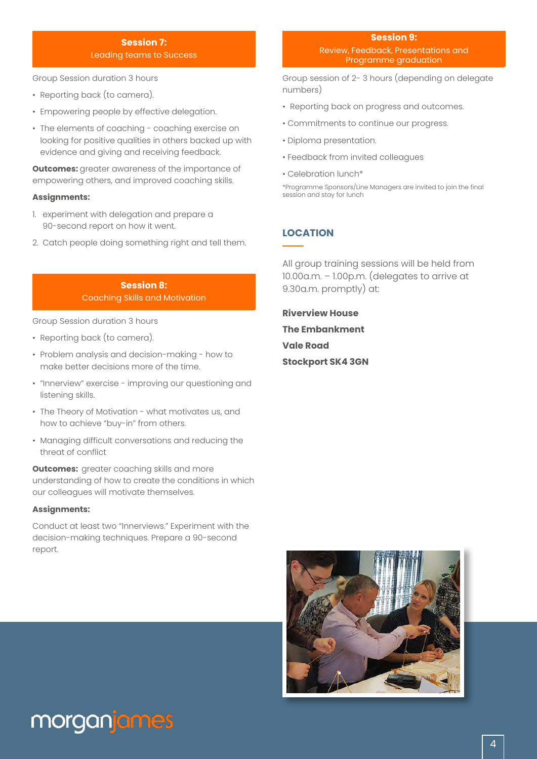#### **Session 7:** Leading teams to Success

Group Session duration 3 hours

- Reporting back (to camera).
- Empowering people by effective delegation.
- The elements of coaching coaching exercise on looking for positive qualities in others backed up with evidence and giving and receiving feedback.

**Outcomes:** greater awareness of the importance of empowering others, and improved coaching skills.

#### **Assignments:**

- 1. experiment with delegation and prepare a 90-second report on how it went.
- 2. Catch people doing something right and tell them.

### **Session 8:**  Coaching Skills and Motivation

Group Session duration 3 hours

- Reporting back (to camera).
- Problem analysis and decision-making how to make better decisions more of the time.
- "Innerview" exercise improving our questioning and listening skills.
- The Theory of Motivation what motivates us, and how to achieve "buy-in" from others.
- Managing difficult conversations and reducing the threat of conflict

**Outcomes:** greater coaching skills and more understanding of how to create the conditions in which our colleagues will motivate themselves.

#### **Assignments:**

Conduct at least two "Innerviews." Experiment with the decision-making techniques. Prepare a 90-second report.

Group session of 2- 3 hours (depending on delegate numbers)

- Reporting back on progress and outcomes.
- Commitments to continue our progress.
- Diploma presentation.
- Feedback from invited colleagues
- Celebration lunch\*

\*Programme Sponsors/Line Managers are invited to join the final session and stay for lunch

### **LOCATION**

All group training sessions will be held from 10.00a.m. – 1.00p.m. (delegates to arrive at 9.30a.m. promptly) at:

**Riverview House The Embankment Vale Road Stockport SK4 3GN** 

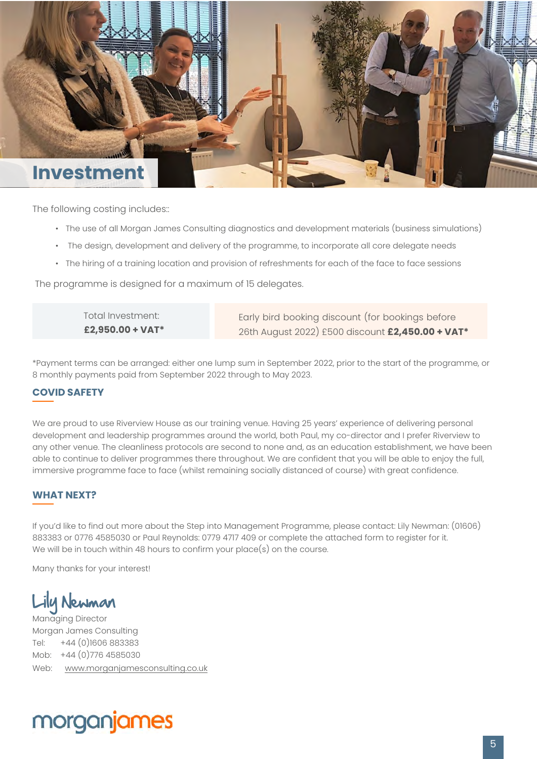

The following costing includes::

- The use of all Morgan James Consulting diagnostics and development materials (business simulations)
- The design, development and delivery of the programme, to incorporate all core delegate needs
- The hiring of a training location and provision of refreshments for each of the face to face sessions

The programme is designed for a maximum of 15 delegates.

Total Investment: **£2,950.00 + VAT\*** Early bird booking discount (for bookings before 26th August 2022) £500 discount **£2,450.00 + VAT\***

\*Payment terms can be arranged: either one lump sum in September 2022, prior to the start of the programme, or 8 monthly payments paid from September 2022 through to May 2023.

### **COVID SAFETY**

We are proud to use Riverview House as our training venue. Having 25 years' experience of delivering personal development and leadership programmes around the world, both Paul, my co-director and I prefer Riverview to any other venue. The cleanliness protocols are second to none and, as an education establishment, we have been able to continue to deliver programmes there throughout. We are confident that you will be able to enjoy the full, immersive programme face to face (whilst remaining socially distanced of course) with great confidence.

### **WHAT NEXT?**

If you'd like to find out more about the Step into Management Programme, please contact: Lily Newman: (01606) 883383 or 0776 4585030 or Paul Reynolds: 0779 4717 409 or complete the attached form to register for it. We will be in touch within 48 hours to confirm your place(s) on the course.

Many thanks for your interest!

Lily Newman

Managing Director Morgan James Consulting Tel: +44 (0)1606 883383 Mob: +44 (0)776 4585030 Web: www.morganjamesconsulting.co.uk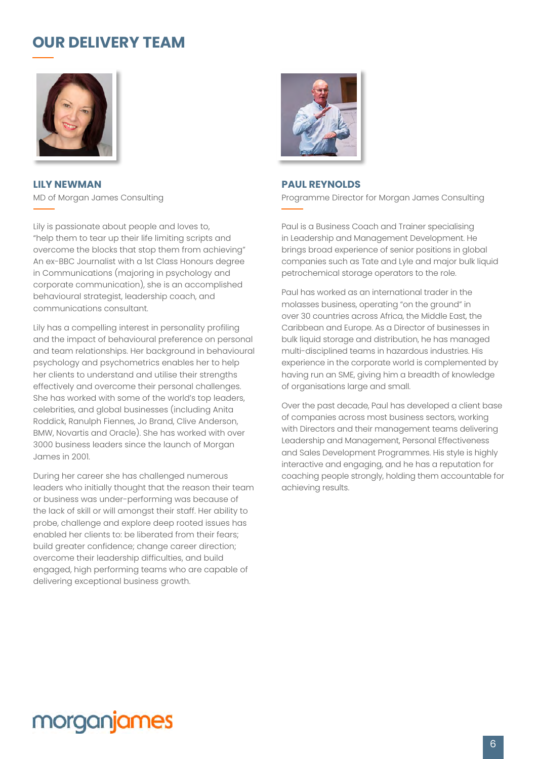# **OUR DELIVERY TEAM**



**LILY NEWMAN** MD of Morgan James Consulting

Lily is passionate about people and loves to, "help them to tear up their life limiting scripts and overcome the blocks that stop them from achieving" An ex-BBC Journalist with a 1st Class Honours degree in Communications (majoring in psychology and corporate communication), she is an accomplished behavioural strategist, leadership coach, and communications consultant.

Lily has a compelling interest in personality profiling and the impact of behavioural preference on personal and team relationships. Her background in behavioural psychology and psychometrics enables her to help her clients to understand and utilise their strengths effectively and overcome their personal challenges. She has worked with some of the world's top leaders, celebrities, and global businesses (including Anita Roddick, Ranulph Fiennes, Jo Brand, Clive Anderson, BMW, Novartis and Oracle). She has worked with over 3000 business leaders since the launch of Morgan James in 2001.

During her career she has challenged numerous leaders who initially thought that the reason their team or business was under-performing was because of the lack of skill or will amongst their staff. Her ability to probe, challenge and explore deep rooted issues has enabled her clients to: be liberated from their fears; build greater confidence; change career direction; overcome their leadership difficulties, and build engaged, high performing teams who are capable of delivering exceptional business growth.



#### **PAUL REYNOLDS**

Programme Director for Morgan James Consulting

Paul is a Business Coach and Trainer specialising in Leadership and Management Development. He brings broad experience of senior positions in global companies such as Tate and Lyle and major bulk liquid petrochemical storage operators to the role.

Paul has worked as an international trader in the molasses business, operating "on the ground" in over 30 countries across Africa, the Middle East, the Caribbean and Europe. As a Director of businesses in bulk liquid storage and distribution, he has managed multi-disciplined teams in hazardous industries. His experience in the corporate world is complemented by having run an SME, giving him a breadth of knowledge of organisations large and small.

Over the past decade, Paul has developed a client base of companies across most business sectors, working with Directors and their management teams delivering Leadership and Management, Personal Effectiveness and Sales Development Programmes. His style is highly interactive and engaging, and he has a reputation for coaching people strongly, holding them accountable for achieving results.